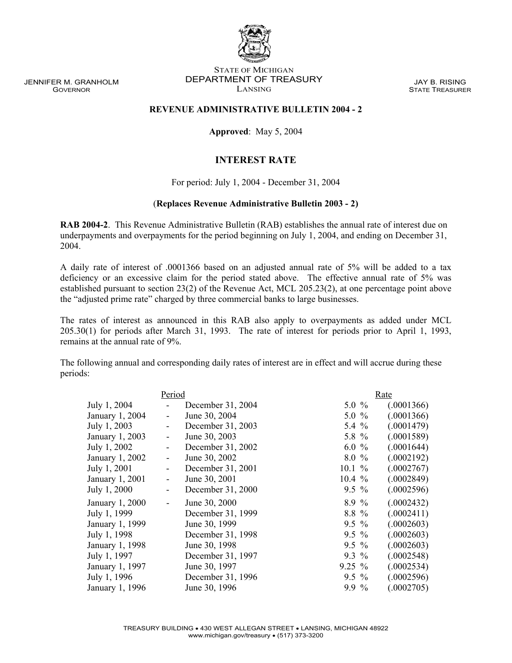JENNIFER M. GRANHOLM GOVERNOR

STATE OF MICHIGAN DEPARTMENT OF TREASURY LANSING

JAY B. RISING STATE TREASURER

## **REVENUE ADMINISTRATIVE BULLETIN 2004 - 2**

**Approved**: May 5, 2004

## **INTEREST RATE**

For period: July 1, 2004 - December 31, 2004

## (**Replaces Revenue Administrative Bulletin 2003 - 2)**

**RAB 2004-2**.This Revenue Administrative Bulletin (RAB) establishes the annual rate of interest due on underpayments and overpayments for the period beginning on July 1, 2004, and ending on December 31, 2004.

A daily rate of interest of .0001366 based on an adjusted annual rate of 5% will be added to a tax deficiency or an excessive claim for the period stated above. The effective annual rate of 5% was established pursuant to section 23(2) of the Revenue Act, MCL 205.23(2), at one percentage point above the "adjusted prime rate" charged by three commercial banks to large businesses.

The rates of interest as announced in this RAB also apply to overpayments as added under MCL 205.30(1) for periods after March 31, 1993. The rate of interest for periods prior to April 1, 1993, remains at the annual rate of 9%.

The following annual and corresponding daily rates of interest are in effect and will accrue during these periods:

|                 | Period |                   |           | Rate |            |
|-----------------|--------|-------------------|-----------|------|------------|
| July 1, 2004    |        | December 31, 2004 | $5.0 \%$  |      | (.0001366) |
| January 1, 2004 | -      | June 30, 2004     | $5.0 \%$  |      | (.0001366) |
| July 1, 2003    |        | December 31, 2003 | 5.4 $%$   |      | (.0001479) |
| January 1, 2003 | -      | June 30, 2003     | 5.8 $%$   |      | (.0001589) |
| July 1, 2002    |        | December 31, 2002 | 6.0 $%$   |      | (.0001644) |
| January 1, 2002 | -      | June 30, 2002     | 8.0%      |      | (.0002192) |
| July 1, 2001    | -      | December 31, 2001 | $10.1 \%$ |      | (.0002767) |
| January 1, 2001 | -      | June 30, 2001     | $10.4\%$  |      | (.0002849) |
| July 1, 2000    |        | December 31, 2000 | $9.5 \%$  |      | (.0002596) |
| January 1, 2000 | -      | June 30, 2000     | $8.9\%$   |      | (.0002432) |
| July 1, 1999    |        | December 31, 1999 | $8.8\%$   |      | (.0002411) |
| January 1, 1999 |        | June 30, 1999     | $9.5\%$   |      | (.0002603) |
| July 1, 1998    |        | December 31, 1998 | $9.5 \%$  |      | (.0002603) |
| January 1, 1998 |        | June 30, 1998     | $9.5 \%$  |      | (.0002603) |
| July 1, 1997    |        | December 31, 1997 | $9.3\%$   |      | (.0002548) |
| January 1, 1997 |        | June 30, 1997     | $9.25 \%$ |      | (.0002534) |
| July 1, 1996    |        | December 31, 1996 | $9.5 \%$  |      | (.0002596) |
| January 1, 1996 |        | June 30, 1996     | 9.9 %     |      | (.0002705) |